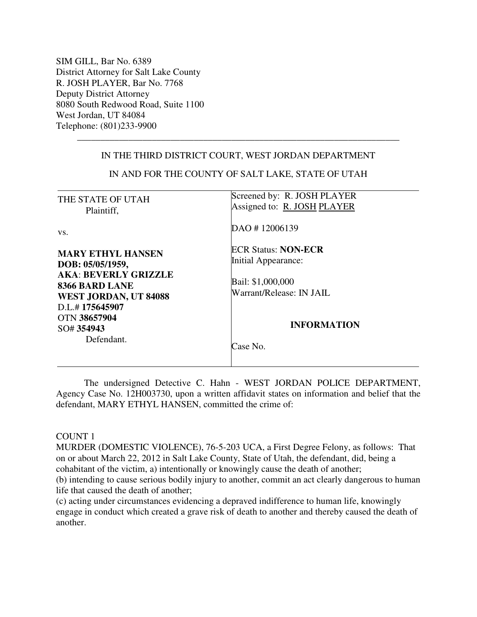SIM GILL, Bar No. 6389 District Attorney for Salt Lake County R. JOSH PLAYER, Bar No. 7768 Deputy District Attorney 8080 South Redwood Road, Suite 1100 West Jordan, UT 84084 Telephone: (801)233-9900

# IN THE THIRD DISTRICT COURT, WEST JORDAN DEPARTMENT

\_\_\_\_\_\_\_\_\_\_\_\_\_\_\_\_\_\_\_\_\_\_\_\_\_\_\_\_\_\_\_\_\_\_\_\_\_\_\_\_\_\_\_\_\_\_\_\_\_\_\_\_\_\_\_\_\_\_\_\_\_\_\_\_\_\_\_\_\_

| THE STATE OF UTAH<br>Plaintiff,                                                                                                          | Screened by: R. JOSH PLAYER<br>Assigned to: R. JOSH PLAYER                                         |
|------------------------------------------------------------------------------------------------------------------------------------------|----------------------------------------------------------------------------------------------------|
| VS.                                                                                                                                      | DAO #12006139                                                                                      |
| <b>MARY ETHYL HANSEN</b><br>DOB: 05/05/1959,<br><b>AKA: BEVERLY GRIZZLE</b><br>8366 BARD LANE<br>WEST JORDAN, UT 84088<br>D.L.#175645907 | <b>ECR Status: NON-ECR</b><br>Initial Appearance:<br>Bail: \$1,000,000<br>Warrant/Release: IN JAIL |
| OTN 38657904<br>SO#354943<br>Defendant.                                                                                                  | <b>INFORMATION</b><br>Case No.                                                                     |

IN AND FOR THE COUNTY OF SALT LAKE, STATE OF UTAH

 The undersigned Detective C. Hahn - WEST JORDAN POLICE DEPARTMENT, Agency Case No. 12H003730, upon a written affidavit states on information and belief that the defendant, MARY ETHYL HANSEN, committed the crime of:

### COUNT 1

MURDER (DOMESTIC VIOLENCE), 76-5-203 UCA, a First Degree Felony, as follows: That on or about March 22, 2012 in Salt Lake County, State of Utah, the defendant, did, being a cohabitant of the victim, a) intentionally or knowingly cause the death of another;

(b) intending to cause serious bodily injury to another, commit an act clearly dangerous to human life that caused the death of another;

(c) acting under circumstances evidencing a depraved indifference to human life, knowingly engage in conduct which created a grave risk of death to another and thereby caused the death of another.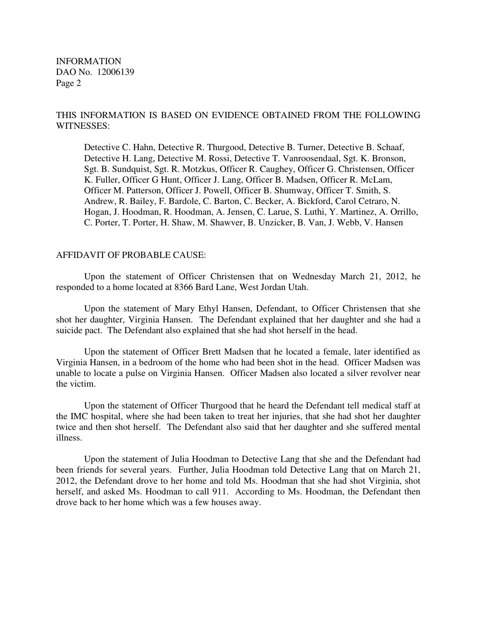INFORMATION DAO No. 12006139 Page 2

## THIS INFORMATION IS BASED ON EVIDENCE OBTAINED FROM THE FOLLOWING WITNESSES:

Detective C. Hahn, Detective R. Thurgood, Detective B. Turner, Detective B. Schaaf, Detective H. Lang, Detective M. Rossi, Detective T. Vanroosendaal, Sgt. K. Bronson, Sgt. B. Sundquist, Sgt. R. Motzkus, Officer R. Caughey, Officer G. Christensen, Officer K. Fuller, Officer G Hunt, Officer J. Lang, Officer B. Madsen, Officer R. McLam, Officer M. Patterson, Officer J. Powell, Officer B. Shumway, Officer T. Smith, S. Andrew, R. Bailey, F. Bardole, C. Barton, C. Becker, A. Bickford, Carol Cetraro, N. Hogan, J. Hoodman, R. Hoodman, A. Jensen, C. Larue, S. Luthi, Y. Martinez, A. Orrillo, C. Porter, T. Porter, H. Shaw, M. Shawver, B. Unzicker, B. Van, J. Webb, V. Hansen

## AFFIDAVIT OF PROBABLE CAUSE:

 Upon the statement of Officer Christensen that on Wednesday March 21, 2012, he responded to a home located at 8366 Bard Lane, West Jordan Utah.

Upon the statement of Mary Ethyl Hansen, Defendant, to Officer Christensen that she shot her daughter, Virginia Hansen. The Defendant explained that her daughter and she had a suicide pact. The Defendant also explained that she had shot herself in the head.

Upon the statement of Officer Brett Madsen that he located a female, later identified as Virginia Hansen, in a bedroom of the home who had been shot in the head. Officer Madsen was unable to locate a pulse on Virginia Hansen. Officer Madsen also located a silver revolver near the victim.

Upon the statement of Officer Thurgood that he heard the Defendant tell medical staff at the IMC hospital, where she had been taken to treat her injuries, that she had shot her daughter twice and then shot herself. The Defendant also said that her daughter and she suffered mental illness.

Upon the statement of Julia Hoodman to Detective Lang that she and the Defendant had been friends for several years. Further, Julia Hoodman told Detective Lang that on March 21, 2012, the Defendant drove to her home and told Ms. Hoodman that she had shot Virginia, shot herself, and asked Ms. Hoodman to call 911. According to Ms. Hoodman, the Defendant then drove back to her home which was a few houses away.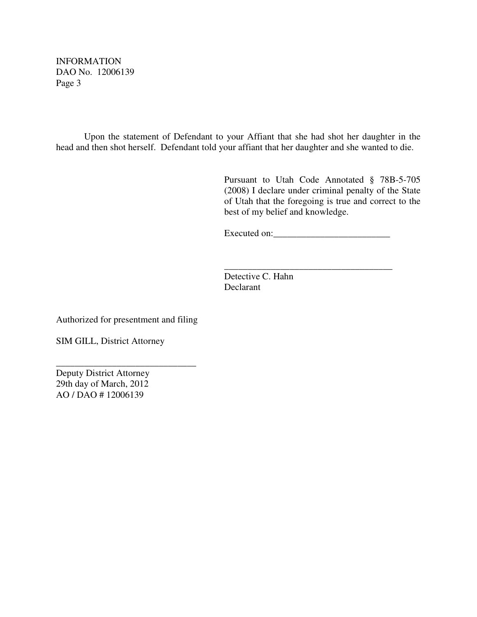INFORMATION DAO No. 12006139 Page 3

Upon the statement of Defendant to your Affiant that she had shot her daughter in the head and then shot herself. Defendant told your affiant that her daughter and she wanted to die.

 $\overline{\phantom{a}}$  , which is a set of the set of the set of the set of the set of the set of the set of the set of the set of the set of the set of the set of the set of the set of the set of the set of the set of the set of th

Pursuant to Utah Code Annotated § 78B-5-705 (2008) I declare under criminal penalty of the State of Utah that the foregoing is true and correct to the best of my belief and knowledge.

Executed on:\_\_\_\_\_\_\_\_\_\_\_\_\_\_\_\_\_\_\_\_\_\_\_\_\_

Detective C. Hahn Declarant

Authorized for presentment and filing

\_\_\_\_\_\_\_\_\_\_\_\_\_\_\_\_\_\_\_\_\_\_\_\_\_\_\_\_\_\_

SIM GILL, District Attorney

Deputy District Attorney 29th day of March, 2012 AO / DAO # 12006139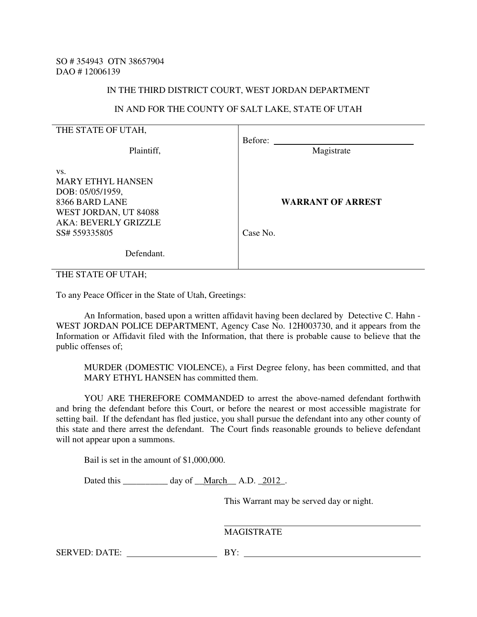#### IN THE THIRD DISTRICT COURT, WEST JORDAN DEPARTMENT

## IN AND FOR THE COUNTY OF SALT LAKE, STATE OF UTAH

| THE STATE OF UTAH,                                                                                                                             |                                      |
|------------------------------------------------------------------------------------------------------------------------------------------------|--------------------------------------|
| Plaintiff,                                                                                                                                     | Before:<br>Magistrate                |
| VS.<br><b>MARY ETHYL HANSEN</b><br>DOB: 05/05/1959,<br>8366 BARD LANE<br>WEST JORDAN, UT 84088<br><b>AKA: BEVERLY GRIZZLE</b><br>SS# 559335805 | <b>WARRANT OF ARREST</b><br>Case No. |
| Defendant.                                                                                                                                     |                                      |

THE STATE OF UTAH;

To any Peace Officer in the State of Utah, Greetings:

 An Information, based upon a written affidavit having been declared by Detective C. Hahn - WEST JORDAN POLICE DEPARTMENT, Agency Case No. 12H003730, and it appears from the Information or Affidavit filed with the Information, that there is probable cause to believe that the public offenses of;

MURDER (DOMESTIC VIOLENCE), a First Degree felony, has been committed, and that MARY ETHYL HANSEN has committed them.

 YOU ARE THEREFORE COMMANDED to arrest the above-named defendant forthwith and bring the defendant before this Court, or before the nearest or most accessible magistrate for setting bail. If the defendant has fled justice, you shall pursue the defendant into any other county of this state and there arrest the defendant. The Court finds reasonable grounds to believe defendant will not appear upon a summons.

Bail is set in the amount of \$1,000,000.

Dated this \_\_\_\_\_\_\_\_\_\_ day of \_\_March\_\_ A.D. \_2012\_.

This Warrant may be served day or night.

# MAGISTRATE

SERVED: DATE: BY: